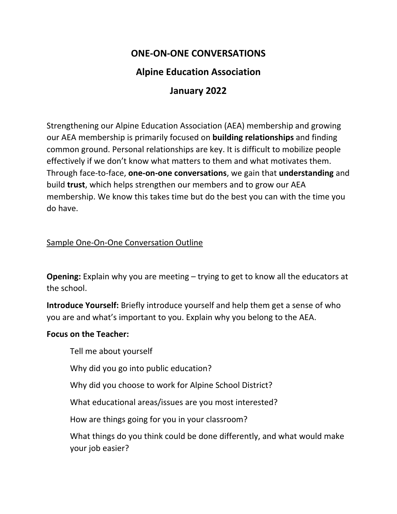# **ONE‐ON‐ONE CONVERSATIONS**

# **Alpine Education Association**

# **January 2022**

Strengthening our Alpine Education Association (AEA) membership and growing our AEA membership is primarily focused on **building relationships** and finding common ground. Personal relationships are key. It is difficult to mobilize people effectively if we don't know what matters to them and what motivates them. Through face‐to‐face, **one‐on‐one conversations**, we gain that **understanding** and build **trust**, which helps strengthen our members and to grow our AEA membership. We know this takes time but do the best you can with the time you do have.

### Sample One‐On‐One Conversation Outline

**Opening:** Explain why you are meeting – trying to get to know all the educators at the school.

**Introduce Yourself:** Briefly introduce yourself and help them get a sense of who you are and what's important to you. Explain why you belong to the AEA.

#### **Focus on the Teacher:**

Tell me about yourself

Why did you go into public education?

Why did you choose to work for Alpine School District?

What educational areas/issues are you most interested?

How are things going for you in your classroom?

What things do you think could be done differently, and what would make your job easier?